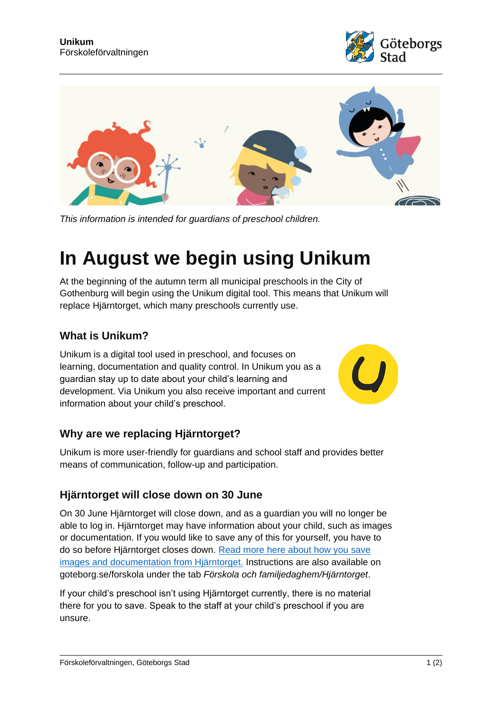



*This information is intended for guardians of preschool children.*

# **In August we begin using Unikum**

At the beginning of the autumn term all municipal preschools in the City of Gothenburg will begin using the Unikum digital tool. This means that Unikum will replace Hjärntorget, which many preschools currently use.

#### **What is Unikum?**

Unikum is a digital tool used in preschool, and focuses on learning, documentation and quality control. In Unikum you as a guardian stay up to date about your child's learning and development. Via Unikum you also receive important and current information about your child's preschool.



# **Why are we replacing Hjärntorget?**

Unikum is more user-friendly for guardians and school staff and provides better means of communication, follow-up and participation.

#### **Hjärntorget will close down on 30 June**

On 30 June Hjärntorget will close down, and as a guardian you will no longer be able to log in. Hjärntorget may have information about your child, such as images or documentation. If you would like to save any of this for yourself, you have to do so before Hjärntorget closes down. [Read more here about how you save](https://goteborg.se/wps/portal/start/forskola-och-utbildning/forskola-o-familjedaghem/hjarntorget)  images and [documentation from Hjärntorget.](https://goteborg.se/wps/portal/start/forskola-och-utbildning/forskola-o-familjedaghem/hjarntorget) Instructions are also available on goteborg.se/forskola under the tab *Förskola och familjedaghem/Hjärntorget*.

If your child's preschool isn't using Hjärntorget currently, there is no material there for you to save. Speak to the staff at your child's preschool if you are unsure.